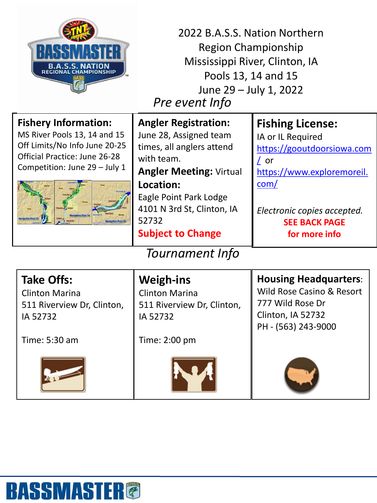

*Pre event Info* 2022 B.A.S.S. Nation Northern Region Championship Mississippi River, Clinton, IA Pools 13, 14 and 15 June 29 – July 1, 2022

|                        | <b>Fishery Information:</b><br>MS River Pools 13, 14 and 15<br>Off Limits/No Info June 20-25<br><b>Official Practice: June 26-28</b><br>Competition: June 29 - July 1<br><b>Vavigation Pool 14</b> | <b>Angler Registration:</b><br>June 28, Assigned team<br>times, all anglers attend<br>with team.<br><b>Angler Meeting: Virtual</b><br>Location:<br>Eagle Point Park Lodge<br>4101 N 3rd St, Clinton, IA<br>52732<br><b>Subject to Change</b> | <b>Fishing License:</b><br>IA or IL Required<br>https://gooutdoorsiowa.com<br>/ or<br>https://www.exploremoreil.<br>com/<br>Electronic copies accepted.<br><b>SEE BACK PAGE</b><br>for more info |
|------------------------|----------------------------------------------------------------------------------------------------------------------------------------------------------------------------------------------------|----------------------------------------------------------------------------------------------------------------------------------------------------------------------------------------------------------------------------------------------|--------------------------------------------------------------------------------------------------------------------------------------------------------------------------------------------------|
| <b>Tournament Info</b> |                                                                                                                                                                                                    |                                                                                                                                                                                                                                              |                                                                                                                                                                                                  |
|                        | <b>Take Offs:</b><br><b>Clinton Marina</b><br>511 Piverview Dr Clinton                                                                                                                             | <b>Weigh-ins</b><br><b>Clinton Marina</b><br>511 Piverview Dr Clinton                                                                                                                                                                        | <b>Housing Headquarters:</b><br>Wild Rose Casino & Resort<br>777 Wild Rose Dr                                                                                                                    |

511 Riverview Dr, Clinton, IA 52732

Time: 5:30 am



511 Riverview Dr, Clinton, IA 52732

Time: 2:00 pm



777 Wild Rose Dr Clinton, IA 52732 PH - (563) 243-9000